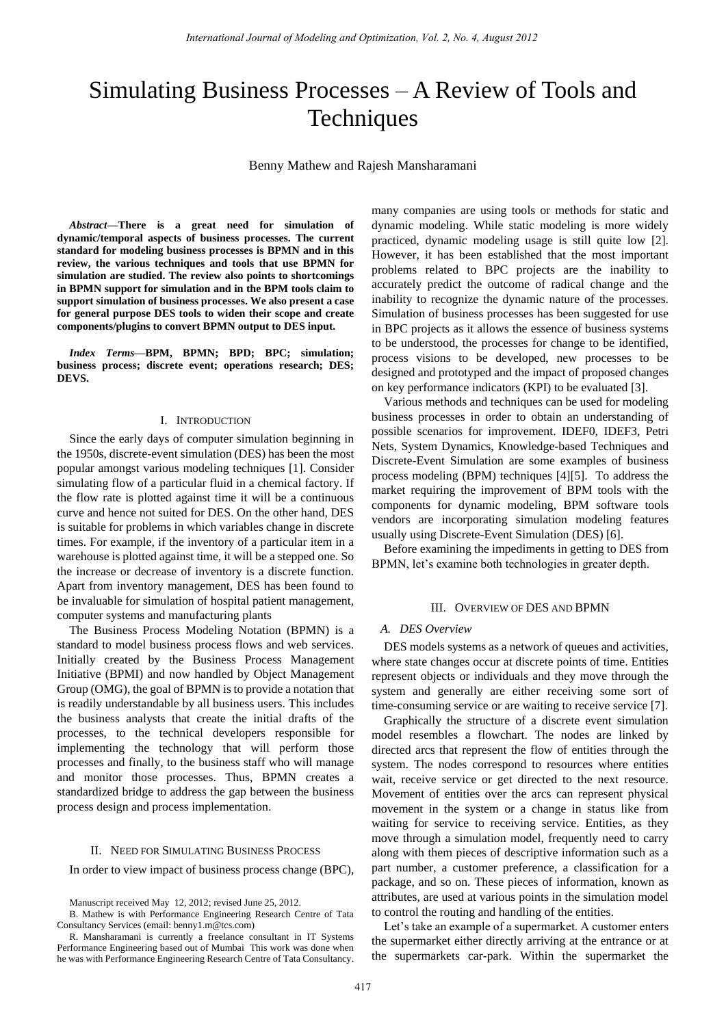# Simulating Business Processes – A Review of Tools and **Techniques**

Benny Mathew and Rajesh Mansharamani

*Abstract***—There is a great need for simulation of dynamic/temporal aspects of business processes. The current standard for modeling business processes is BPMN and in this review, the various techniques and tools that use BPMN for simulation are studied. The review also points to shortcomings in BPMN support for simulation and in the BPM tools claim to support simulation of business processes. We also present a case for general purpose DES tools to widen their scope and create components/plugins to convert BPMN output to DES input.** 

*Index Terms***—BPM, BPMN; BPD; BPC; simulation; business process; discrete event; operations research; DES; DEVS.** 

## I. INTRODUCTION

Since the early days of computer simulation beginning in the 1950s, discrete-event simulation (DES) has been the most popular amongst various modeling techniques [1]. Consider simulating flow of a particular fluid in a chemical factory. If the flow rate is plotted against time it will be a continuous curve and hence not suited for DES. On the other hand, DES is suitable for problems in which variables change in discrete times. For example, if the inventory of a particular item in a warehouse is plotted against time, it will be a stepped one. So the increase or decrease of inventory is a discrete function. Apart from inventory management, DES has been found to be invaluable for simulation of hospital patient management, computer systems and manufacturing plants

The Business Process Modeling Notation (BPMN) is a standard to model business process flows and web services. Initially created by the Business Process Management Initiative (BPMI) and now handled by Object Management Group (OMG), the goal of BPMN is to provide a notation that is readily understandable by all business users. This includes the business analysts that create the initial drafts of the processes, to the technical developers responsible for implementing the technology that will perform those processes and finally, to the business staff who will manage and monitor those processes. Thus, BPMN creates a standardized bridge to address the gap between the business process design and process implementation.

#### II. NEED FOR SIMULATING BUSINESS PROCESS

In order to view impact of business process change (BPC),

many companies are using tools or methods for static and dynamic modeling. While static modeling is more widely practiced, dynamic modeling usage is still quite low [2]. However, it has been established that the most important problems related to BPC projects are the inability to accurately predict the outcome of radical change and the inability to recognize the dynamic nature of the processes. Simulation of business processes has been suggested for use in BPC projects as it allows the essence of business systems to be understood, the processes for change to be identified, process visions to be developed, new processes to be designed and prototyped and the impact of proposed changes on key performance indicators (KPI) to be evaluated [3].

Various methods and techniques can be used for modeling business processes in order to obtain an understanding of possible scenarios for improvement. IDEF0, IDEF3, Petri Nets, System Dynamics, Knowledge-based Techniques and Discrete-Event Simulation are some examples of business process modeling (BPM) techniques [4][5]. To address the market requiring the improvement of BPM tools with the components for dynamic modeling, BPM software tools vendors are incorporating simulation modeling features usually using Discrete-Event Simulation (DES) [6].

Before examining the impediments in getting to DES from BPMN, let's examine both technologies in greater depth.

#### III. OVERVIEW OF DES AND BPMN

## *A. DES Overview*

DES models systems as a network of queues and activities, where state changes occur at discrete points of time. Entities represent objects or individuals and they move through the system and generally are either receiving some sort of time-consuming service or are waiting to receive service [7].

Graphically the structure of a discrete event simulation model resembles a flowchart. The nodes are linked by directed arcs that represent the flow of entities through the system. The nodes correspond to resources where entities wait, receive service or get directed to the next resource. Movement of entities over the arcs can represent physical movement in the system or a change in status like from waiting for service to receiving service. Entities, as they move through a simulation model, frequently need to carry along with them pieces of descriptive information such as a part number, a customer preference, a classification for a package, and so on. These pieces of information, known as attributes, are used at various points in the simulation model to control the routing and handling of the entities.

Let's take an example of a supermarket. A customer enters the supermarket either directly arriving at the entrance or at the supermarkets car-park. Within the supermarket the

Manuscript received May 12, 2012; revised June 25, 2012.

B. Mathew is with Performance Engineering Research Centre of Tata Consultancy Services (email: benny1.m@tcs.com)

R. Mansharamani is currently a freelance consultant in IT Systems Performance Engineering based out of Mumbai This work was done when he was with Performance Engineering Research Centre of Tata Consultancy.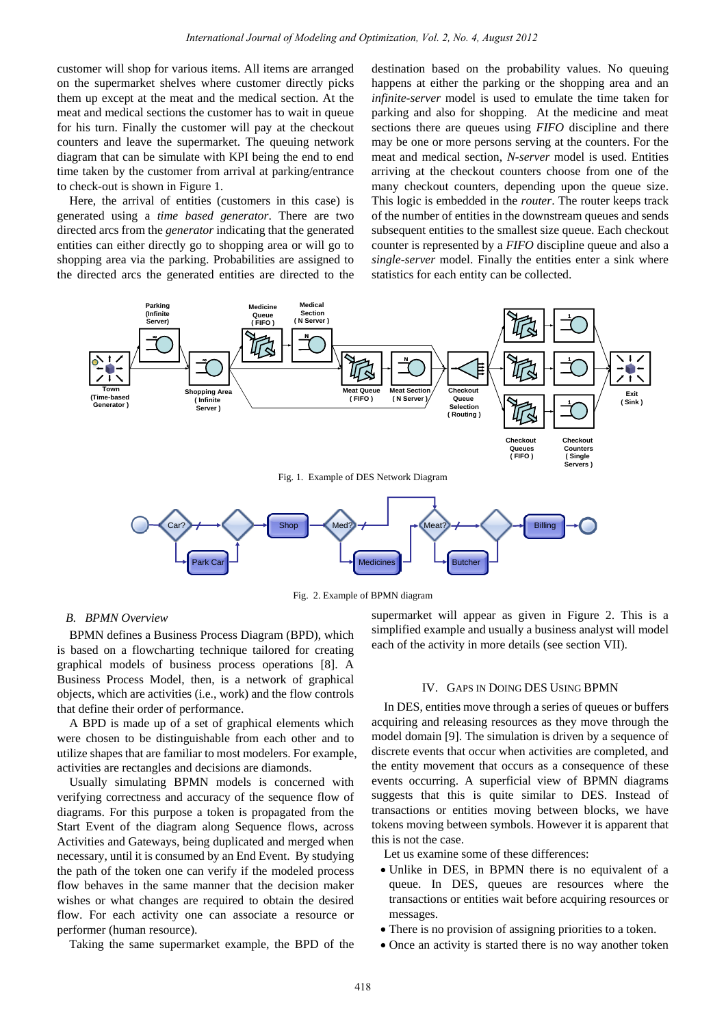customer will shop for various items. All items are arranged on the supermarket shelves where customer directly picks them up except at the meat and the medical section. At the meat and medical sections the customer has to wait in queue for his turn. Finally the customer will pay at the checkout counters and leave the supermarket. The queuing network diagram that can be simulate with KPI being the end to end time taken by the customer from arrival at parking/entrance to check-out is shown in Figure 1.

Here, the arrival of entities (customers in this case) is generated using a *time based generator*. There are two directed arcs from the *generator* indicating that the generated entities can either directly go to shopping area or will go to shopping area via the parking. Probabilities are assigned to the directed arcs the generated entities are directed to the destination based on the probability values. No queuing happens at either the parking or the shopping area and an *infinite-server* model is used to emulate the time taken for parking and also for shopping. At the medicine and meat sections there are queues using *FIFO* discipline and there may be one or more persons serving at the counters. For the meat and medical section, *N-server* model is used. Entities arriving at the checkout counters choose from one of the many checkout counters, depending upon the queue size. This logic is embedded in the *router*. The router keeps track of the number of entities in the downstream queues and sends subsequent entities to the smallest size queue. Each checkout counter is represented by a *FIFO* discipline queue and also a *single-server* model. Finally the entities enter a sink where statistics for each entity can be collected.



Fig. 2. Example of BPMN diagram

# *B. BPMN Overview*

BPMN defines a Business Process Diagram (BPD), which is based on a flowcharting technique tailored for creating graphical models of business process operations [8]. A Business Process Model, then, is a network of graphical objects, which are activities (i.e., work) and the flow controls that define their order of performance.

A BPD is made up of a set of graphical elements which were chosen to be distinguishable from each other and to utilize shapes that are familiar to most modelers. For example, activities are rectangles and decisions are diamonds.

Usually simulating BPMN models is concerned with verifying correctness and accuracy of the sequence flow of diagrams. For this purpose a token is propagated from the Start Event of the diagram along Sequence flows, across Activities and Gateways, being duplicated and merged when necessary, until it is consumed by an End Event. By studying the path of the token one can verify if the modeled process flow behaves in the same manner that the decision maker wishes or what changes are required to obtain the desired flow. For each activity one can associate a resource or performer (human resource).

Taking the same supermarket example, the BPD of the

supermarket will appear as given in Figure 2. This is a simplified example and usually a business analyst will model each of the activity in more details (see section VII).

## IV. GAPS IN DOING DES USING BPMN

In DES, entities move through a series of queues or buffers acquiring and releasing resources as they move through the model domain [9]. The simulation is driven by a sequence of discrete events that occur when activities are completed, and the entity movement that occurs as a consequence of these events occurring. A superficial view of BPMN diagrams suggests that this is quite similar to DES. Instead of transactions or entities moving between blocks, we have tokens moving between symbols. However it is apparent that this is not the case.

Let us examine some of these differences:

- Unlike in DES, in BPMN there is no equivalent of a queue. In DES, queues are resources where the transactions or entities wait before acquiring resources or messages.
- There is no provision of assigning priorities to a token.
- Once an activity is started there is no way another token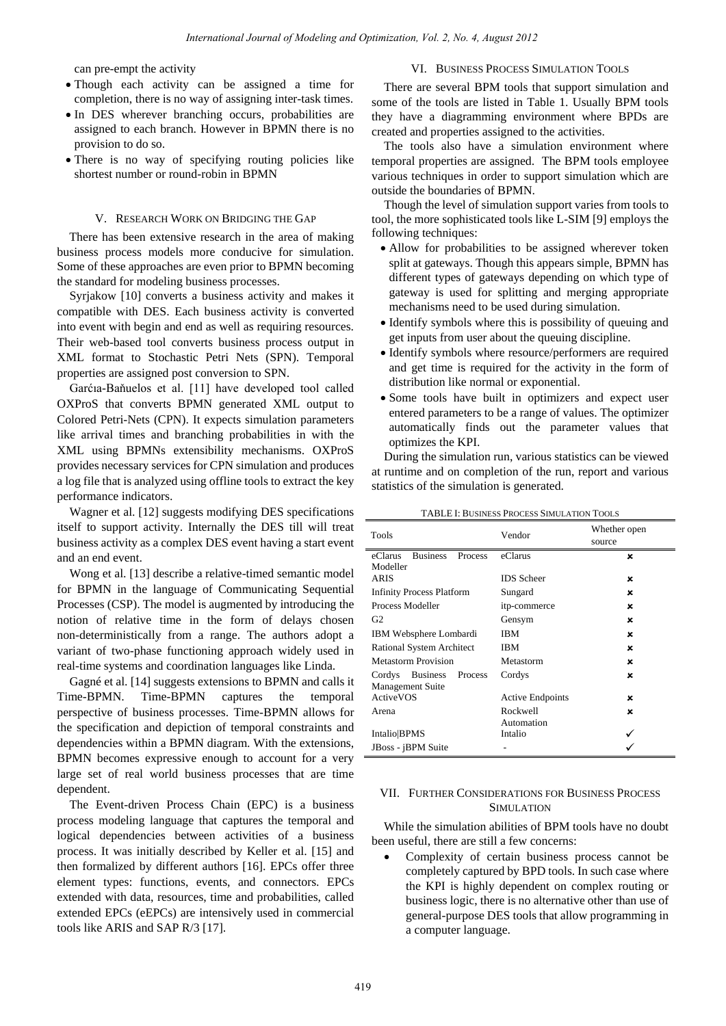can pre-empt the activity

# Though each activity can be assigned a time for completion, there is no way of assigning inter-task times.

- In DES wherever branching occurs, probabilities are assigned to each branch. However in BPMN there is no provision to do so.
- There is no way of specifying routing policies like shortest number or round-robin in BPMN

#### V. RESEARCH WORK ON BRIDGING THE GAP

There has been extensive research in the area of making business process models more conducive for simulation. Some of these approaches are even prior to BPMN becoming the standard for modeling business processes.

Syrjakow [10] converts a business activity and makes it compatible with DES. Each business activity is converted into event with begin and end as well as requiring resources. Their web-based tool converts business process output in XML format to Stochastic Petri Nets (SPN). Temporal properties are assigned post conversion to SPN.

Garćıa-Baňuelos et al. [11] have developed tool called OXProS that converts BPMN generated XML output to Colored Petri-Nets (CPN). It expects simulation parameters like arrival times and branching probabilities in with the XML using BPMNs extensibility mechanisms. OXProS provides necessary services for CPN simulation and produces a log file that is analyzed using offline tools to extract the key performance indicators.

Wagner et al. [12] suggests modifying DES specifications itself to support activity. Internally the DES till will treat business activity as a complex DES event having a start event and an end event.

Wong et al. [13] describe a relative-timed semantic model for BPMN in the language of Communicating Sequential Processes (CSP). The model is augmented by introducing the notion of relative time in the form of delays chosen non-deterministically from a range. The authors adopt a variant of two-phase functioning approach widely used in real-time systems and coordination languages like Linda.

Gagné et al. [14] suggests extensions to BPMN and calls it Time-BPMN. Time-BPMN captures the temporal perspective of business processes. Time-BPMN allows for the specification and depiction of temporal constraints and dependencies within a BPMN diagram. With the extensions, BPMN becomes expressive enough to account for a very large set of real world business processes that are time dependent.

The Event-driven Process Chain (EPC) is a business process modeling language that captures the temporal and logical dependencies between activities of a business process. It was initially described by Keller et al. [15] and then formalized by different authors [16]. EPCs offer three element types: functions, events, and connectors. EPCs extended with data, resources, time and probabilities, called extended EPCs (eEPCs) are intensively used in commercial tools like ARIS and SAP R/3 [17].

# VI. BUSINESS PROCESS SIMULATION TOOLS

There are several BPM tools that support simulation and some of the tools are listed in Table 1. Usually BPM tools they have a diagramming environment where BPDs are created and properties assigned to the activities.

The tools also have a simulation environment where temporal properties are assigned. The BPM tools employee various techniques in order to support simulation which are outside the boundaries of BPMN.

Though the level of simulation support varies from tools to tool, the more sophisticated tools like L-SIM [9] employs the following techniques:

- Allow for probabilities to be assigned wherever token split at gateways. Though this appears simple, BPMN has different types of gateways depending on which type of gateway is used for splitting and merging appropriate mechanisms need to be used during simulation.
- Identify symbols where this is possibility of queuing and get inputs from user about the queuing discipline.
- Identify symbols where resource/performers are required and get time is required for the activity in the form of distribution like normal or exponential.
- Some tools have built in optimizers and expect user entered parameters to be a range of values. The optimizer automatically finds out the parameter values that optimizes the KPI.

During the simulation run, various statistics can be viewed at runtime and on completion of the run, report and various statistics of the simulation is generated.

| <b>TABLE I: BUSINESS PROCESS SIMULATION TOOLS</b> |  |
|---------------------------------------------------|--|
|---------------------------------------------------|--|

| Tools                                 | Vendor                  | Whether open<br>source |
|---------------------------------------|-------------------------|------------------------|
| <b>Business</b><br>eClarus<br>Process | eClarus                 | ×                      |
| Modeller                              |                         |                        |
| <b>ARIS</b>                           | <b>IDS</b> Scheer       | ×                      |
| <b>Infinity Process Platform</b>      | Sungard                 | ×                      |
| Process Modeller                      | itp-commerce            | ×                      |
| G <sub>2</sub>                        | Gensym                  | ×                      |
| IBM Websphere Lombardi                | <b>IBM</b>              | ×                      |
| <b>Rational System Architect</b>      | <b>IBM</b>              | ×                      |
| <b>Metastorm Provision</b>            | Metastorm               | ×                      |
| <b>Business</b><br>Cordys<br>Process  | Cordys                  | ×                      |
| <b>Management Suite</b>               |                         |                        |
| ActiveVOS                             | <b>Active Endpoints</b> | ×                      |
| Arena                                 | Rockwell                | ×                      |
|                                       | Automation              |                        |
| Intalio BPMS                          | Intalio                 |                        |
| JBoss - jBPM Suite                    |                         |                        |

## VII. FURTHER CONSIDERATIONS FOR BUSINESS PROCESS SIMULATION

While the simulation abilities of BPM tools have no doubt been useful, there are still a few concerns:

 Complexity of certain business process cannot be completely captured by BPD tools. In such case where the KPI is highly dependent on complex routing or business logic, there is no alternative other than use of general-purpose DES tools that allow programming in a computer language.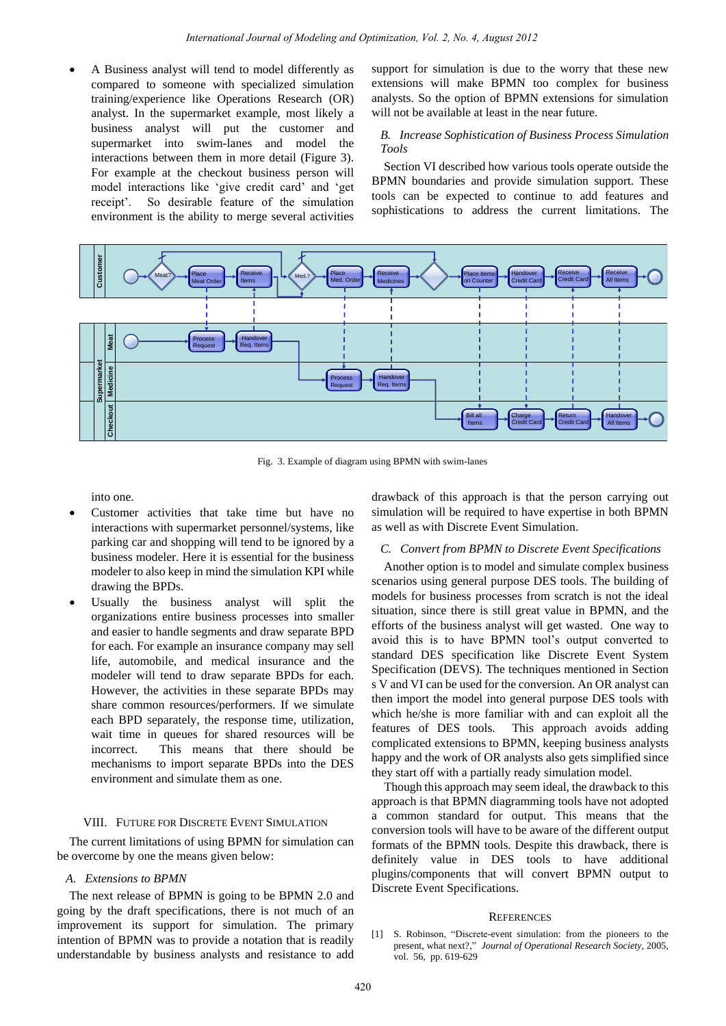A Business analyst will tend to model differently as compared to someone with specialized simulation training/experience like Operations Research (OR) analyst. In the supermarket example, most likely a business analyst will put the customer and supermarket into swim-lanes and model the interactions between them in more detail (Figure 3). For example at the checkout business person will model interactions like "give credit card" and "get receipt'. So desirable feature of the simulation environment is the ability to merge several activities

support for simulation is due to the worry that these new extensions will make BPMN too complex for business analysts. So the option of BPMN extensions for simulation will not be available at least in the near future.

# *B. Increase Sophistication of Business Process Simulation Tools*

Section VI described how various tools operate outside the BPMN boundaries and provide simulation support. These tools can be expected to continue to add features and sophistications to address the current limitations. The



into one.

- Customer activities that take time but have no interactions with supermarket personnel/systems, like parking car and shopping will tend to be ignored by a business modeler. Here it is essential for the business modeler to also keep in mind the simulation KPI while drawing the BPDs.
- Usually the business analyst will split the organizations entire business processes into smaller and easier to handle segments and draw separate BPD for each. For example an insurance company may sell life, automobile, and medical insurance and the modeler will tend to draw separate BPDs for each. However, the activities in these separate BPDs may share common resources/performers. If we simulate each BPD separately, the response time, utilization, wait time in queues for shared resources will be incorrect. This means that there should be mechanisms to import separate BPDs into the DES environment and simulate them as one.

## VIII. FUTURE FOR DISCRETE EVENT SIMULATION

The current limitations of using BPMN for simulation can be overcome by one the means given below:

# *A. Extensions to BPMN*

The next release of BPMN is going to be BPMN 2.0 and going by the draft specifications, there is not much of an improvement its support for simulation. The primary intention of BPMN was to provide a notation that is readily understandable by business analysts and resistance to add drawback of this approach is that the person carrying out simulation will be required to have expertise in both BPMN as well as with Discrete Event Simulation.

## *C. Convert from BPMN to Discrete Event Specifications*

Another option is to model and simulate complex business scenarios using general purpose DES tools. The building of models for business processes from scratch is not the ideal situation, since there is still great value in BPMN, and the efforts of the business analyst will get wasted. One way to avoid this is to have BPMN tool"s output converted to standard DES specification like Discrete Event System Specification (DEVS). The techniques mentioned in Section s V and VI can be used for the conversion. An OR analyst can then import the model into general purpose DES tools with which he/she is more familiar with and can exploit all the features of DES tools. This approach avoids adding complicated extensions to BPMN, keeping business analysts happy and the work of OR analysts also gets simplified since they start off with a partially ready simulation model.

Though this approach may seem ideal, the drawback to this approach is that BPMN diagramming tools have not adopted a common standard for output. This means that the conversion tools will have to be aware of the different output formats of the BPMN tools. Despite this drawback, there is definitely value in DES tools to have additional plugins/components that will convert BPMN output to Discrete Event Specifications.

#### **REFERENCES**

[1] S. Robinson, "Discrete-event simulation: from the pioneers to the present, what next?," *Journal of Operational Research Society*, 2005, vol. 56, pp. 619-629